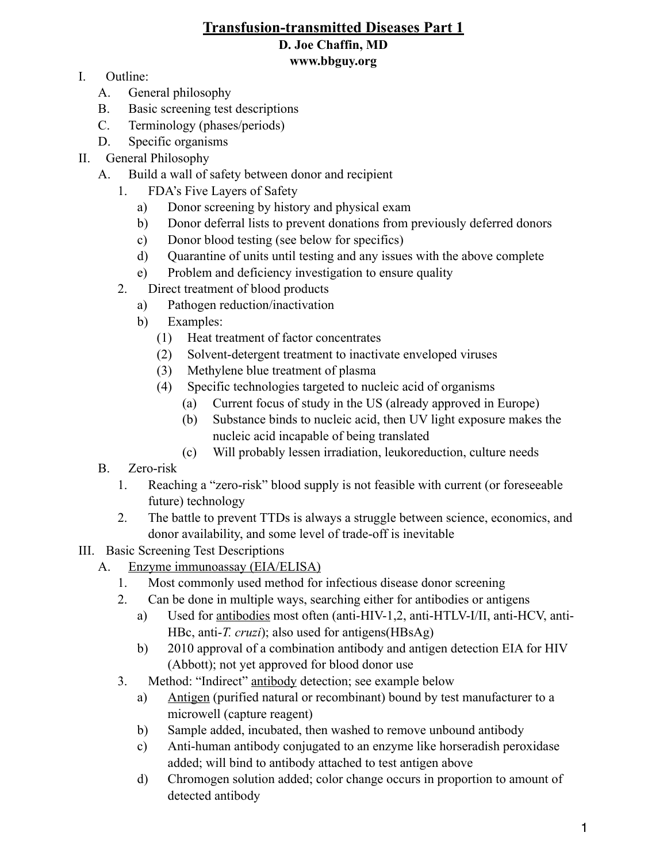### **Transfusion-transmitted Diseases Part 1 D. Joe Chaffin, MD www.bbguy.org**

- I. Outline:
	- A. General philosophy
	- B. Basic screening test descriptions
	- C. Terminology (phases/periods)
	- D. Specific organisms
- II. General Philosophy
	- A. Build a wall of safety between donor and recipient
		- 1. FDA's Five Layers of Safety
			- a) Donor screening by history and physical exam
			- b) Donor deferral lists to prevent donations from previously deferred donors
			- c) Donor blood testing (see below for specifics)
			- d) Quarantine of units until testing and any issues with the above complete
			- e) Problem and deficiency investigation to ensure quality
		- 2. Direct treatment of blood products
			- a) Pathogen reduction/inactivation
			- b) Examples:
				- (1) Heat treatment of factor concentrates
				- (2) Solvent-detergent treatment to inactivate enveloped viruses
				- (3) Methylene blue treatment of plasma
				- (4) Specific technologies targeted to nucleic acid of organisms
					- (a) Current focus of study in the US (already approved in Europe)
					- (b) Substance binds to nucleic acid, then UV light exposure makes the nucleic acid incapable of being translated
					- (c) Will probably lessen irradiation, leukoreduction, culture needs
	- B. Zero-risk
		- 1. Reaching a "zero-risk" blood supply is not feasible with current (or foreseeable future) technology
		- 2. The battle to prevent TTDs is always a struggle between science, economics, and donor availability, and some level of trade-off is inevitable
- III. Basic Screening Test Descriptions
	- A. Enzyme immunoassay (EIA/ELISA)
		- 1. Most commonly used method for infectious disease donor screening
		- 2. Can be done in multiple ways, searching either for antibodies or antigens
			- a) Used for antibodies most often (anti-HIV-1,2, anti-HTLV-I/II, anti-HCV, anti-HBc, anti-*T. cruzi*); also used for antigens(HBsAg)
			- b) 2010 approval of a combination antibody and antigen detection EIA for HIV (Abbott); not yet approved for blood donor use
		- 3. Method: "Indirect" antibody detection; see example below
			- a) Antigen (purified natural or recombinant) bound by test manufacturer to a microwell (capture reagent)
			- b) Sample added, incubated, then washed to remove unbound antibody
			- c) Anti-human antibody conjugated to an enzyme like horseradish peroxidase added; will bind to antibody attached to test antigen above
			- d) Chromogen solution added; color change occurs in proportion to amount of detected antibody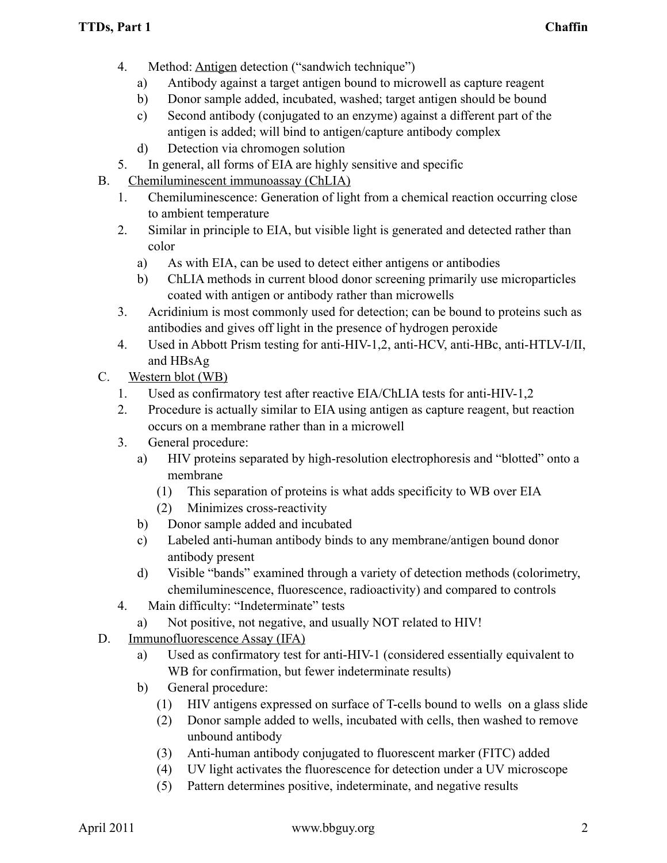- 4. Method: Antigen detection ("sandwich technique")
	- a) Antibody against a target antigen bound to microwell as capture reagent
	- b) Donor sample added, incubated, washed; target antigen should be bound
	- c) Second antibody (conjugated to an enzyme) against a different part of the antigen is added; will bind to antigen/capture antibody complex
	- d) Detection via chromogen solution
- 5. In general, all forms of EIA are highly sensitive and specific
- B. Chemiluminescent immunoassay (ChLIA)
	- 1. Chemiluminescence: Generation of light from a chemical reaction occurring close to ambient temperature
	- 2. Similar in principle to EIA, but visible light is generated and detected rather than color
		- a) As with EIA, can be used to detect either antigens or antibodies
		- b) ChLIA methods in current blood donor screening primarily use microparticles coated with antigen or antibody rather than microwells
	- 3. Acridinium is most commonly used for detection; can be bound to proteins such as antibodies and gives off light in the presence of hydrogen peroxide
	- 4. Used in Abbott Prism testing for anti-HIV-1,2, anti-HCV, anti-HBc, anti-HTLV-I/II, and HBsAg
- C. Western blot (WB)
	- 1. Used as confirmatory test after reactive EIA/ChLIA tests for anti-HIV-1,2
	- 2. Procedure is actually similar to EIA using antigen as capture reagent, but reaction occurs on a membrane rather than in a microwell
	- 3. General procedure:
		- a) HIV proteins separated by high-resolution electrophoresis and "blotted" onto a membrane
			- (1) This separation of proteins is what adds specificity to WB over EIA
			- (2) Minimizes cross-reactivity
		- b) Donor sample added and incubated
		- c) Labeled anti-human antibody binds to any membrane/antigen bound donor antibody present
		- d) Visible "bands" examined through a variety of detection methods (colorimetry, chemiluminescence, fluorescence, radioactivity) and compared to controls
	- 4. Main difficulty: "Indeterminate" tests
		- a) Not positive, not negative, and usually NOT related to HIV!
- D. Immunofluorescence Assay (IFA)
	- a) Used as confirmatory test for anti-HIV-1 (considered essentially equivalent to WB for confirmation, but fewer indeterminate results)
	- b) General procedure:
		- (1) HIV antigens expressed on surface of T-cells bound to wells on a glass slide
		- (2) Donor sample added to wells, incubated with cells, then washed to remove unbound antibody
		- (3) Anti-human antibody conjugated to fluorescent marker (FITC) added
		- (4) UV light activates the fluorescence for detection under a UV microscope
		- (5) Pattern determines positive, indeterminate, and negative results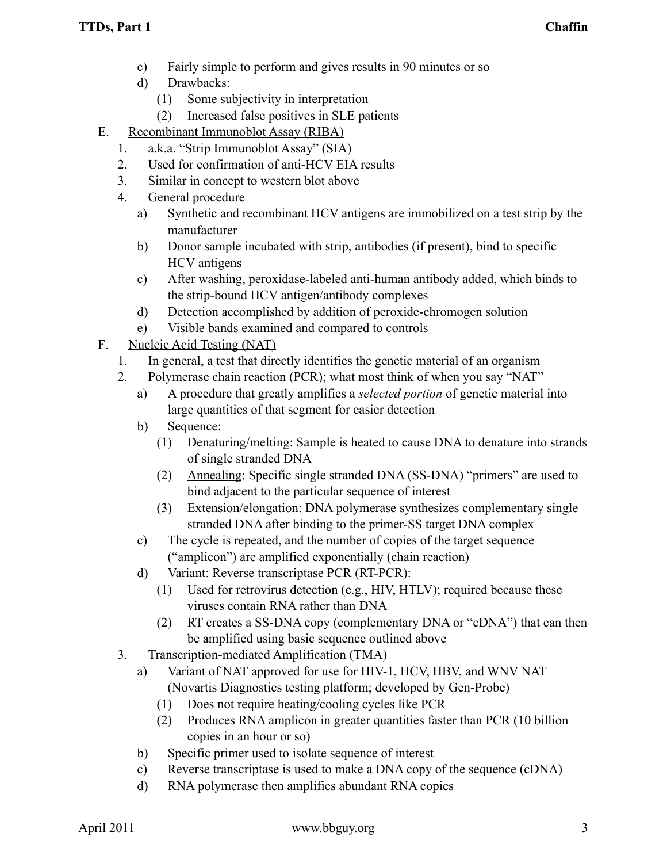- c) Fairly simple to perform and gives results in 90 minutes or so
- d) Drawbacks:
	- (1) Some subjectivity in interpretation
	- (2) Increased false positives in SLE patients
- E. Recombinant Immunoblot Assay (RIBA)
	- 1. a.k.a. "Strip Immunoblot Assay" (SIA)
	- 2. Used for confirmation of anti-HCV EIA results
	- 3. Similar in concept to western blot above
	- 4. General procedure
		- a) Synthetic and recombinant HCV antigens are immobilized on a test strip by the manufacturer
		- b) Donor sample incubated with strip, antibodies (if present), bind to specific HCV antigens
		- c) After washing, peroxidase-labeled anti-human antibody added, which binds to the strip-bound HCV antigen/antibody complexes
		- d) Detection accomplished by addition of peroxide-chromogen solution
		- e) Visible bands examined and compared to controls
- F. Nucleic Acid Testing (NAT)
	- 1. In general, a test that directly identifies the genetic material of an organism
	- 2. Polymerase chain reaction (PCR); what most think of when you say "NAT"
		- a) A procedure that greatly amplifies a *selected portion* of genetic material into large quantities of that segment for easier detection
		- b) Sequence:
			- (1) Denaturing/melting: Sample is heated to cause DNA to denature into strands of single stranded DNA
			- (2) Annealing: Specific single stranded DNA (SS-DNA) "primers" are used to bind adjacent to the particular sequence of interest
			- (3) Extension/elongation: DNA polymerase synthesizes complementary single stranded DNA after binding to the primer-SS target DNA complex
		- c) The cycle is repeated, and the number of copies of the target sequence ("amplicon") are amplified exponentially (chain reaction)
		- d) Variant: Reverse transcriptase PCR (RT-PCR):
			- (1) Used for retrovirus detection (e.g., HIV, HTLV); required because these viruses contain RNA rather than DNA
			- (2) RT creates a SS-DNA copy (complementary DNA or "cDNA") that can then be amplified using basic sequence outlined above
	- 3. Transcription-mediated Amplification (TMA)
		- a) Variant of NAT approved for use for HIV-1, HCV, HBV, and WNV NAT (Novartis Diagnostics testing platform; developed by Gen-Probe)
			- (1) Does not require heating/cooling cycles like PCR
			- (2) Produces RNA amplicon in greater quantities faster than PCR (10 billion copies in an hour or so)
		- b) Specific primer used to isolate sequence of interest
		- c) Reverse transcriptase is used to make a DNA copy of the sequence (cDNA)
		- d) RNA polymerase then amplifies abundant RNA copies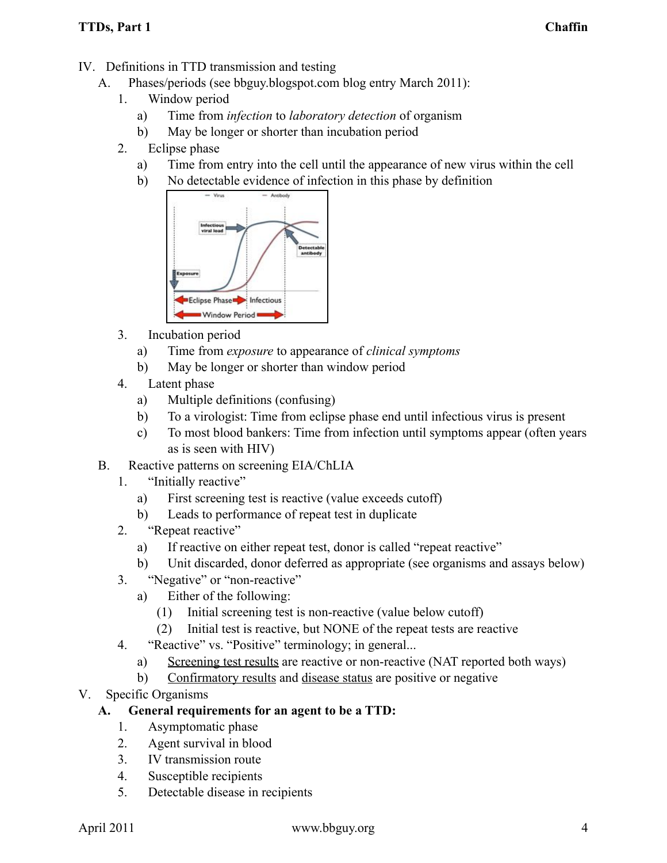- IV. Definitions in TTD transmission and testing
	- A. Phases/periods (see bbguy.blogspot.com blog entry March 2011):
		- 1. Window period
			- a) Time from *infection* to *laboratory detection* of organism
			- b) May be longer or shorter than incubation period
		- 2. Eclipse phase
			- a) Time from entry into the cell until the appearance of new virus within the cell
			- b) No detectable evidence of infection in this phase by definition



- 3. Incubation period
	- a) Time from *exposure* to appearance of *clinical symptoms*
	- b) May be longer or shorter than window period
- 4. Latent phase
	- a) Multiple definitions (confusing)
	- b) To a virologist: Time from eclipse phase end until infectious virus is present
	- c) To most blood bankers: Time from infection until symptoms appear (often years as is seen with HIV)
- B. Reactive patterns on screening EIA/ChLIA
	- 1. "Initially reactive"
		- a) First screening test is reactive (value exceeds cutoff)
		- b) Leads to performance of repeat test in duplicate
	- 2. "Repeat reactive"
		- a) If reactive on either repeat test, donor is called "repeat reactive"
		- b) Unit discarded, donor deferred as appropriate (see organisms and assays below)
	- 3. "Negative" or "non-reactive"
		- a) Either of the following:
			- (1) Initial screening test is non-reactive (value below cutoff)
			- (2) Initial test is reactive, but NONE of the repeat tests are reactive
	- 4. "Reactive" vs. "Positive" terminology; in general...
		- a) Screening test results are reactive or non-reactive (NAT reported both ways)
		- b) Confirmatory results and disease status are positive or negative
- V. Specific Organisms
	- **A. General requirements for an agent to be a TTD:**
		- 1. Asymptomatic phase
		- 2. Agent survival in blood
		- 3. IV transmission route
		- 4. Susceptible recipients
		- 5. Detectable disease in recipients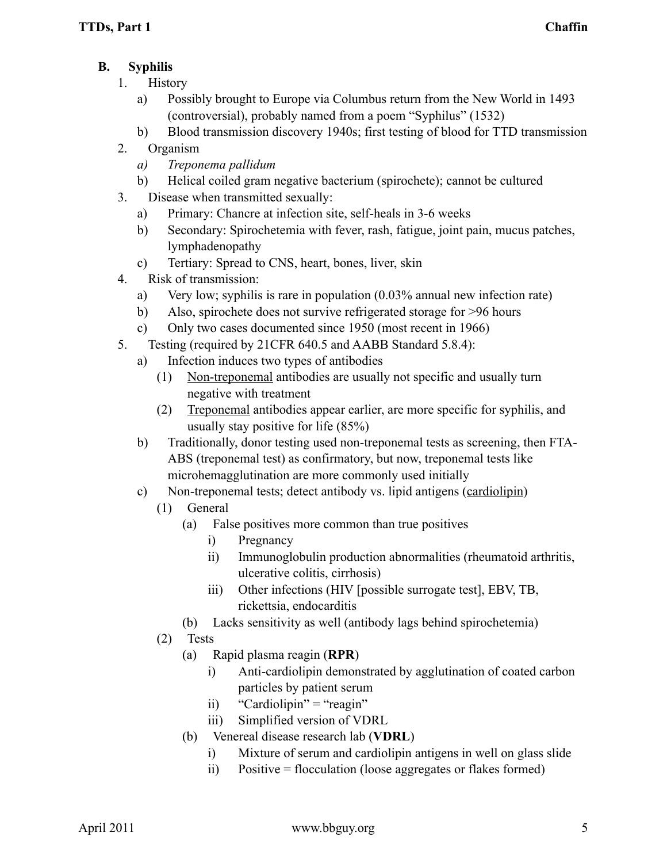## **B. Syphilis**

- 1. History
	- a) Possibly brought to Europe via Columbus return from the New World in 1493 (controversial), probably named from a poem "Syphilus" (1532)
	- b) Blood transmission discovery 1940s; first testing of blood for TTD transmission
- 2. Organism
	- *a) Treponema pallidum*
	- b) Helical coiled gram negative bacterium (spirochete); cannot be cultured
- 3. Disease when transmitted sexually:
	- a) Primary: Chancre at infection site, self-heals in 3-6 weeks
	- b) Secondary: Spirochetemia with fever, rash, fatigue, joint pain, mucus patches, lymphadenopathy
	- c) Tertiary: Spread to CNS, heart, bones, liver, skin
- 4. Risk of transmission:
	- a) Very low; syphilis is rare in population (0.03% annual new infection rate)
	- b) Also, spirochete does not survive refrigerated storage for >96 hours
	- c) Only two cases documented since 1950 (most recent in 1966)
- 5. Testing (required by 21CFR 640.5 and AABB Standard 5.8.4):
	- a) Infection induces two types of antibodies
		- (1) Non-treponemal antibodies are usually not specific and usually turn negative with treatment
		- (2) Treponemal antibodies appear earlier, are more specific for syphilis, and usually stay positive for life (85%)
	- b) Traditionally, donor testing used non-treponemal tests as screening, then FTA-ABS (treponemal test) as confirmatory, but now, treponemal tests like microhemagglutination are more commonly used initially
	- c) Non-treponemal tests; detect antibody vs. lipid antigens (cardiolipin)
		- (1) General
			- (a) False positives more common than true positives
				- i) Pregnancy
				- ii) Immunoglobulin production abnormalities (rheumatoid arthritis, ulcerative colitis, cirrhosis)
				- iii) Other infections (HIV [possible surrogate test], EBV, TB, rickettsia, endocarditis
			- (b) Lacks sensitivity as well (antibody lags behind spirochetemia)
		- (2) Tests
			- (a) Rapid plasma reagin (**RPR**)
				- i) Anti-cardiolipin demonstrated by agglutination of coated carbon particles by patient serum
				- ii) "Cardiolipin" = "reagin"
				- iii) Simplified version of VDRL
			- (b) Venereal disease research lab (**VDRL**)
				- i) Mixture of serum and cardiolipin antigens in well on glass slide
				- ii) Positive = flocculation (loose aggregates or flakes formed)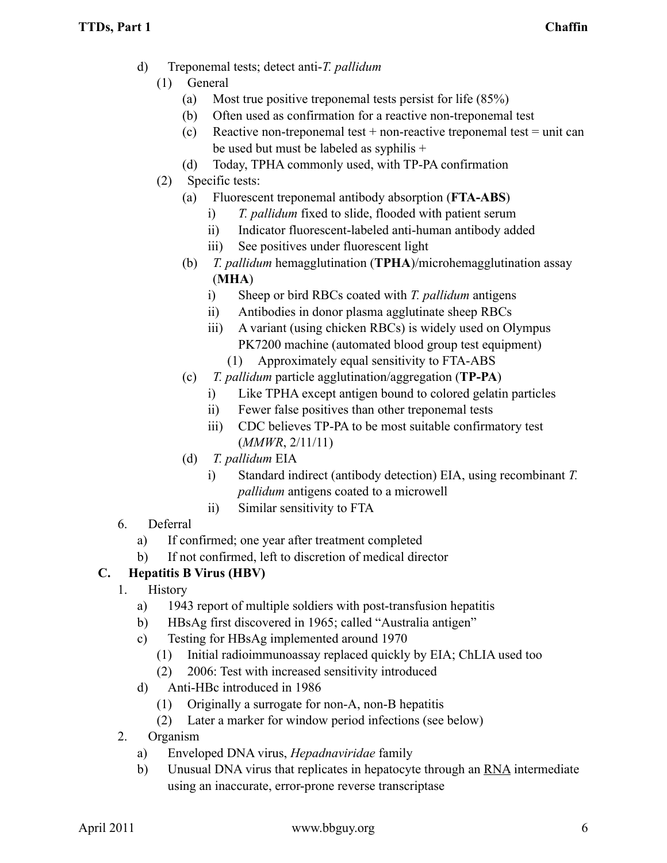- d) Treponemal tests; detect anti-*T. pallidum*
	- (1) General
		- (a) Most true positive treponemal tests persist for life (85%)
		- (b) Often used as confirmation for a reactive non-treponemal test
		- (c) Reactive non-treponemal test  $+$  non-reactive treponemal test  $=$  unit can be used but must be labeled as syphilis +
		- (d) Today, TPHA commonly used, with TP-PA confirmation
	- (2) Specific tests:
		- (a) Fluorescent treponemal antibody absorption (**FTA-ABS**)
			- i) *T. pallidum* fixed to slide, flooded with patient serum
			- ii) Indicator fluorescent-labeled anti-human antibody added
			- iii) See positives under fluorescent light
		- (b) *T. pallidum* hemagglutination (**TPHA**)/microhemagglutination assay (**MHA**)
			- i) Sheep or bird RBCs coated with *T. pallidum* antigens
			- ii) Antibodies in donor plasma agglutinate sheep RBCs
			- iii) A variant (using chicken RBCs) is widely used on Olympus PK7200 machine (automated blood group test equipment)
				- (1) Approximately equal sensitivity to FTA-ABS
		- (c) *T. pallidum* particle agglutination/aggregation (**TP-PA**)
			- i) Like TPHA except antigen bound to colored gelatin particles
			- ii) Fewer false positives than other treponemal tests
			- iii) CDC believes TP-PA to be most suitable confirmatory test (*MMWR*, 2/11/11)
		- (d) *T. pallidum* EIA
			- i) Standard indirect (antibody detection) EIA, using recombinant *T. pallidum* antigens coated to a microwell
			- ii) Similar sensitivity to FTA
- 6. Deferral
	- a) If confirmed; one year after treatment completed
	- b) If not confirmed, left to discretion of medical director

# **C. Hepatitis B Virus (HBV)**

- 1. History
	- a) 1943 report of multiple soldiers with post-transfusion hepatitis
	- b) HBsAg first discovered in 1965; called "Australia antigen"
	- c) Testing for HBsAg implemented around 1970
		- (1) Initial radioimmunoassay replaced quickly by EIA; ChLIA used too
		- (2) 2006: Test with increased sensitivity introduced
	- d) Anti-HBc introduced in 1986
		- (1) Originally a surrogate for non-A, non-B hepatitis
		- (2) Later a marker for window period infections (see below)
- 2. Organism
	- a) Enveloped DNA virus, *Hepadnaviridae* family
	- b) Unusual DNA virus that replicates in hepatocyte through an RNA intermediate using an inaccurate, error-prone reverse transcriptase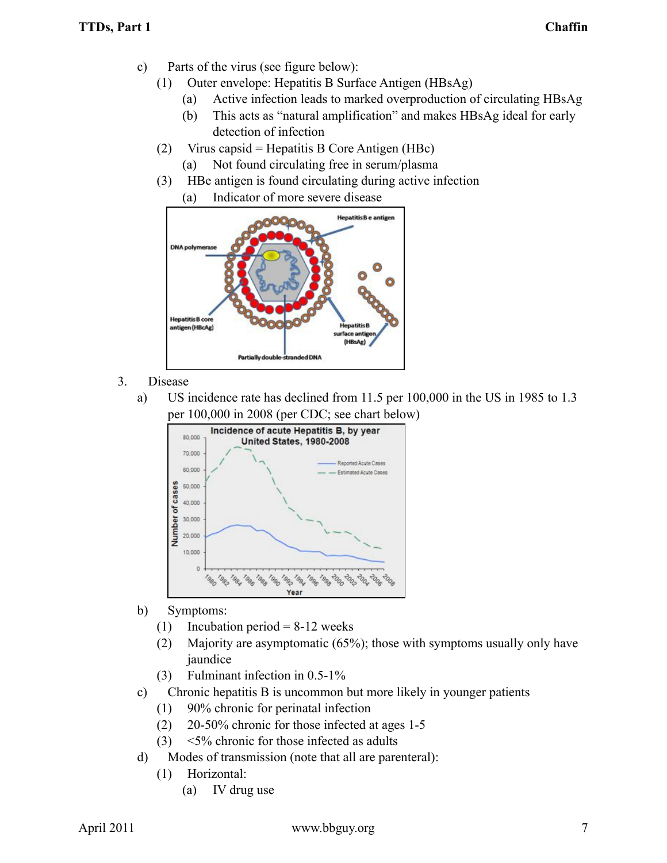- c) Parts of the virus (see figure below):
	- (1) Outer envelope: Hepatitis B Surface Antigen (HBsAg)
		- (a) Active infection leads to marked overproduction of circulating HBsAg
		- (b) This acts as "natural amplification" and makes HBsAg ideal for early detection of infection
	- (2) Virus capsid = Hepatitis B Core Antigen (HBc)
		- (a) Not found circulating free in serum/plasma
	- (3) HBe antigen is found circulating during active infection
		- (a) Indicator of more severe disease



- 3. Disease
	- a) US incidence rate has declined from 11.5 per 100,000 in the US in 1985 to 1.3 per 100,000 in 2008 (per CDC; see chart below)



- b) Symptoms:
	- (1) Incubation period  $= 8-12$  weeks
	- (2) Majority are asymptomatic (65%); those with symptoms usually only have jaundice
	- (3) Fulminant infection in 0.5-1%
- c) Chronic hepatitis B is uncommon but more likely in younger patients
	- (1) 90% chronic for perinatal infection
	- (2) 20-50% chronic for those infected at ages 1-5
	- (3) <5% chronic for those infected as adults
- d) Modes of transmission (note that all are parenteral):
	- (1) Horizontal:
		- (a) IV drug use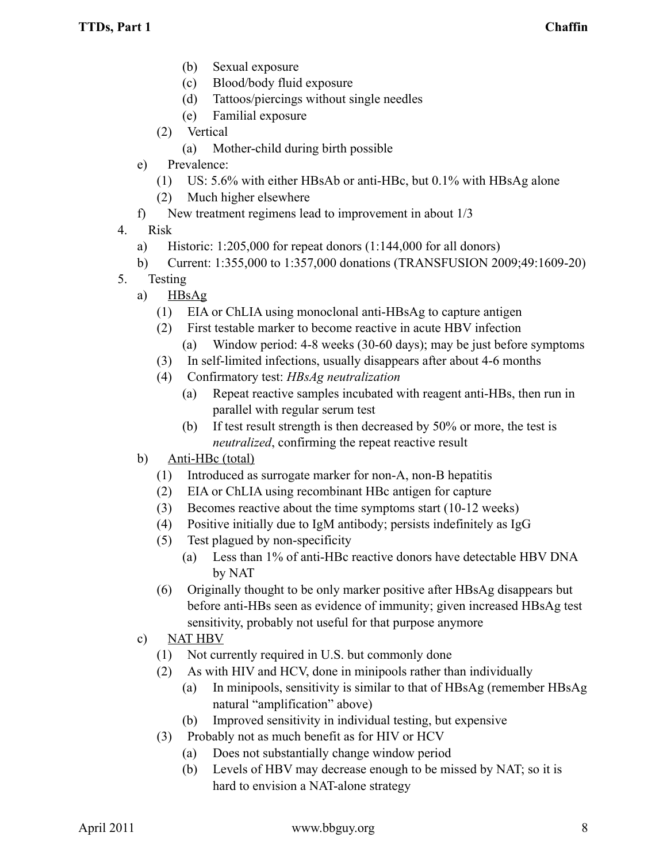- (b) Sexual exposure
- (c) Blood/body fluid exposure
- (d) Tattoos/piercings without single needles
- (e) Familial exposure
- (2) Vertical
	- (a) Mother-child during birth possible
- e) Prevalence:
	- (1) US: 5.6% with either HBsAb or anti-HBc, but 0.1% with HBsAg alone
	- (2) Much higher elsewhere
- f) New treatment regimens lead to improvement in about 1/3
- 4. Risk
	- a) Historic: 1:205,000 for repeat donors (1:144,000 for all donors)
	- b) Current: 1:355,000 to 1:357,000 donations (TRANSFUSION 2009;49:1609-20)
- 5. Testing
	- a) HBsAg
		- (1) EIA or ChLIA using monoclonal anti-HBsAg to capture antigen
		- (2) First testable marker to become reactive in acute HBV infection
			- (a) Window period: 4-8 weeks (30-60 days); may be just before symptoms
		- (3) In self-limited infections, usually disappears after about 4-6 months
		- (4) Confirmatory test: *HBsAg neutralization*
			- (a) Repeat reactive samples incubated with reagent anti-HBs, then run in parallel with regular serum test
			- (b) If test result strength is then decreased by 50% or more, the test is *neutralized*, confirming the repeat reactive result
	- b) Anti-HBc (total)
		- (1) Introduced as surrogate marker for non-A, non-B hepatitis
		- (2) EIA or ChLIA using recombinant HBc antigen for capture
		- (3) Becomes reactive about the time symptoms start (10-12 weeks)
		- (4) Positive initially due to IgM antibody; persists indefinitely as IgG
		- (5) Test plagued by non-specificity
			- (a) Less than 1% of anti-HBc reactive donors have detectable HBV DNA by NAT
		- (6) Originally thought to be only marker positive after HBsAg disappears but before anti-HBs seen as evidence of immunity; given increased HBsAg test sensitivity, probably not useful for that purpose anymore
	- c) NAT HBV
		- (1) Not currently required in U.S. but commonly done
		- (2) As with HIV and HCV, done in minipools rather than individually
			- (a) In minipools, sensitivity is similar to that of HBsAg (remember HBsAg natural "amplification" above)
			- (b) Improved sensitivity in individual testing, but expensive
		- (3) Probably not as much benefit as for HIV or HCV
			- (a) Does not substantially change window period
			- (b) Levels of HBV may decrease enough to be missed by NAT; so it is hard to envision a NAT-alone strategy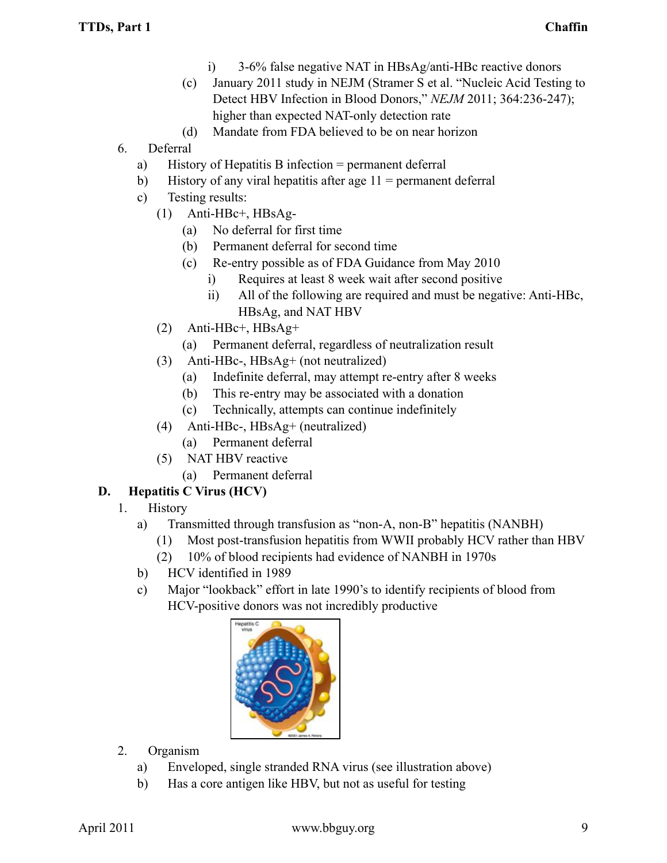- i) 3-6% false negative NAT in HBsAg/anti-HBc reactive donors
- (c) January 2011 study in NEJM (Stramer S et al. "Nucleic Acid Testing to Detect HBV Infection in Blood Donors," *NEJM* 2011; 364:236-247); higher than expected NAT-only detection rate
- (d) Mandate from FDA believed to be on near horizon
- 6. Deferral
	- a) History of Hepatitis B infection = permanent deferral
	- b) History of any viral hepatitis after age  $11$  = permanent deferral
	- c) Testing results:
		- (1) Anti-HBc+, HBsAg-
			- (a) No deferral for first time
			- (b) Permanent deferral for second time
			- (c) Re-entry possible as of FDA Guidance from May 2010
				- i) Requires at least 8 week wait after second positive
				- ii) All of the following are required and must be negative: Anti-HBc, HBsAg, and NAT HBV
		- (2) Anti-HBc+, HBsAg+
			- (a) Permanent deferral, regardless of neutralization result
		- (3) Anti-HBc-, HBsAg+ (not neutralized)
			- (a) Indefinite deferral, may attempt re-entry after 8 weeks
			- (b) This re-entry may be associated with a donation
			- (c) Technically, attempts can continue indefinitely
		- (4) Anti-HBc-, HBsAg+ (neutralized)
			- (a) Permanent deferral
		- (5) NAT HBV reactive
			- (a) Permanent deferral

# **D. Hepatitis C Virus (HCV)**

- 1. History
	- a) Transmitted through transfusion as "non-A, non-B" hepatitis (NANBH)
		- (1) Most post-transfusion hepatitis from WWII probably HCV rather than HBV
		- (2) 10% of blood recipients had evidence of NANBH in 1970s
	- b) HCV identified in 1989
	- c) Major "lookback" effort in late 1990's to identify recipients of blood from HCV-positive donors was not incredibly productive



- 2. Organism
	- a) Enveloped, single stranded RNA virus (see illustration above)
	- b) Has a core antigen like HBV, but not as useful for testing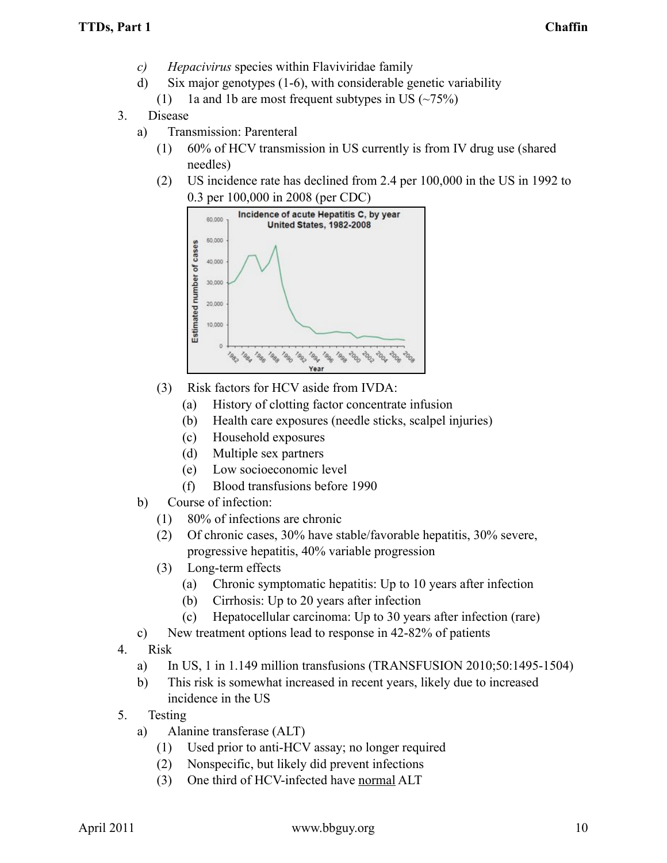- *c) Hepacivirus* species within Flaviviridae family
- d) Six major genotypes (1-6), with considerable genetic variability
	- (1) 1a and 1b are most frequent subtypes in US  $(\sim 75\%)$
- 3. Disease
	- a) Transmission: Parenteral
		- (1) 60% of HCV transmission in US currently is from IV drug use (shared needles)
		- (2) US incidence rate has declined from 2.4 per 100,000 in the US in 1992 to 0.3 per 100,000 in 2008 (per CDC)



- (3) Risk factors for HCV aside from IVDA:
	- (a) History of clotting factor concentrate infusion
	- (b) Health care exposures (needle sticks, scalpel injuries)
	- (c) Household exposures
	- (d) Multiple sex partners
	- (e) Low socioeconomic level
	- (f) Blood transfusions before 1990
- b) Course of infection:
	- (1) 80% of infections are chronic
	- (2) Of chronic cases, 30% have stable/favorable hepatitis, 30% severe, progressive hepatitis, 40% variable progression
	- (3) Long-term effects
		- (a) Chronic symptomatic hepatitis: Up to 10 years after infection
		- (b) Cirrhosis: Up to 20 years after infection
		- (c) Hepatocellular carcinoma: Up to 30 years after infection (rare)
- c) New treatment options lead to response in 42-82% of patients
- 4. Risk
	- a) In US, 1 in 1.149 million transfusions (TRANSFUSION 2010;50:1495-1504)
	- b) This risk is somewhat increased in recent years, likely due to increased incidence in the US
- 5. Testing
	- a) Alanine transferase (ALT)
		- (1) Used prior to anti-HCV assay; no longer required
		- (2) Nonspecific, but likely did prevent infections
		- (3) One third of HCV-infected have normal ALT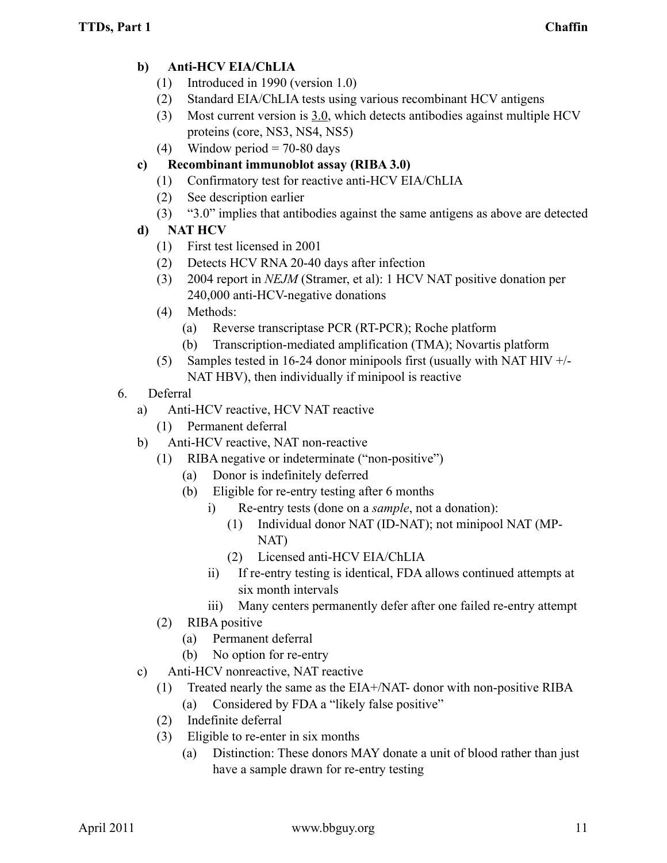### **b) Anti-HCV EIA/ChLIA**

- (1) Introduced in 1990 (version 1.0)
- (2) Standard EIA/ChLIA tests using various recombinant HCV antigens
- (3) Most current version is 3.0, which detects antibodies against multiple HCV proteins (core, NS3, NS4, NS5)
- (4) Window period = 70-80 days
- **c) Recombinant immunoblot assay (RIBA 3.0)**
	- (1) Confirmatory test for reactive anti-HCV EIA/ChLIA
	- (2) See description earlier
	- (3) "3.0" implies that antibodies against the same antigens as above are detected
- **d) NAT HCV**
	- (1) First test licensed in 2001
	- (2) Detects HCV RNA 20-40 days after infection
	- (3) 2004 report in *NEJM* (Stramer, et al): 1 HCV NAT positive donation per 240,000 anti-HCV-negative donations
	- (4) Methods:
		- (a) Reverse transcriptase PCR (RT-PCR); Roche platform
		- (b) Transcription-mediated amplification (TMA); Novartis platform
	- (5) Samples tested in 16-24 donor minipools first (usually with NAT HIV +/- NAT HBV), then individually if minipool is reactive
- 6. Deferral
	- a) Anti-HCV reactive, HCV NAT reactive
		- (1) Permanent deferral
	- b) Anti-HCV reactive, NAT non-reactive
		- (1) RIBA negative or indeterminate ("non-positive")
			- (a) Donor is indefinitely deferred
			- (b) Eligible for re-entry testing after 6 months
				- i) Re-entry tests (done on a *sample*, not a donation):
					- (1) Individual donor NAT (ID-NAT); not minipool NAT (MP-NAT)
					- (2) Licensed anti-HCV EIA/ChLIA
				- ii) If re-entry testing is identical, FDA allows continued attempts at six month intervals
				- iii) Many centers permanently defer after one failed re-entry attempt
		- (2) RIBA positive
			- (a) Permanent deferral
			- (b) No option for re-entry
	- c) Anti-HCV nonreactive, NAT reactive
		- (1) Treated nearly the same as the EIA+/NAT- donor with non-positive RIBA (a) Considered by FDA a "likely false positive"
		- (2) Indefinite deferral
		- (3) Eligible to re-enter in six months
			- (a) Distinction: These donors MAY donate a unit of blood rather than just have a sample drawn for re-entry testing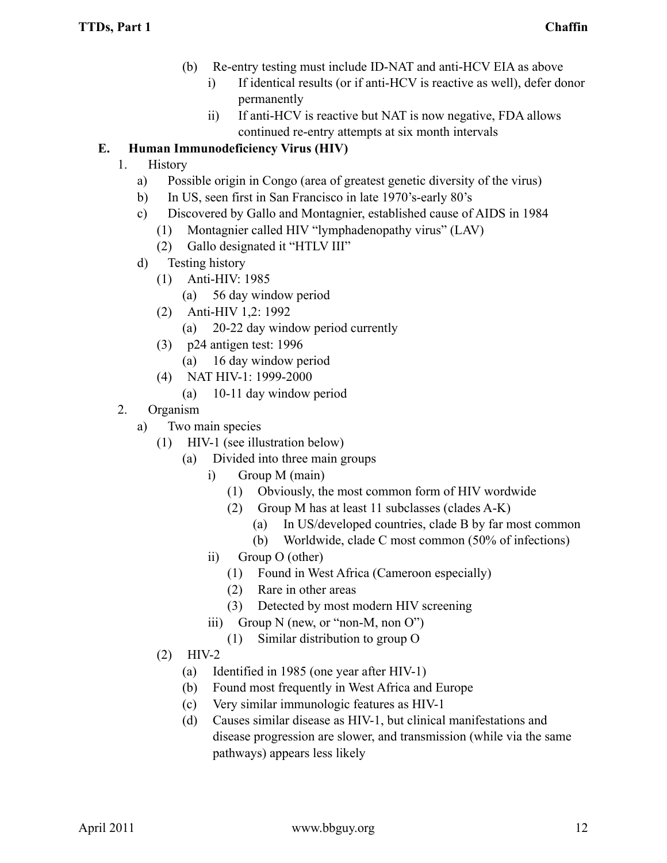- (b) Re-entry testing must include ID-NAT and anti-HCV EIA as above
	- i) If identical results (or if anti-HCV is reactive as well), defer donor permanently
	- ii) If anti-HCV is reactive but NAT is now negative, FDA allows continued re-entry attempts at six month intervals

## **E. Human Immunodeficiency Virus (HIV)**

- 1. History
	- a) Possible origin in Congo (area of greatest genetic diversity of the virus)
	- b) In US, seen first in San Francisco in late 1970's-early 80's
	- c) Discovered by Gallo and Montagnier, established cause of AIDS in 1984
		- (1) Montagnier called HIV "lymphadenopathy virus" (LAV)
		- (2) Gallo designated it "HTLV III"
	- d) Testing history
		- (1) Anti-HIV: 1985
			- (a) 56 day window period
		- (2) Anti-HIV 1,2: 1992
			- (a) 20-22 day window period currently
		- (3) p24 antigen test: 1996
			- (a) 16 day window period
		- (4) NAT HIV-1: 1999-2000
			- (a) 10-11 day window period
- 2. Organism
	- a) Two main species
		- (1) HIV-1 (see illustration below)
			- (a) Divided into three main groups
				- i) Group M (main)
					- (1) Obviously, the most common form of HIV wordwide
					- (2) Group M has at least 11 subclasses (clades A-K)
						- (a) In US/developed countries, clade B by far most common
						- (b) Worldwide, clade C most common (50% of infections)
				- ii) Group O (other)
					- (1) Found in West Africa (Cameroon especially)
					- (2) Rare in other areas
					- (3) Detected by most modern HIV screening
				- iii) Group N (new, or "non-M, non O")
					- (1) Similar distribution to group O
		- (2) HIV-2
			- (a) Identified in 1985 (one year after HIV-1)
			- (b) Found most frequently in West Africa and Europe
			- (c) Very similar immunologic features as HIV-1
			- (d) Causes similar disease as HIV-1, but clinical manifestations and disease progression are slower, and transmission (while via the same pathways) appears less likely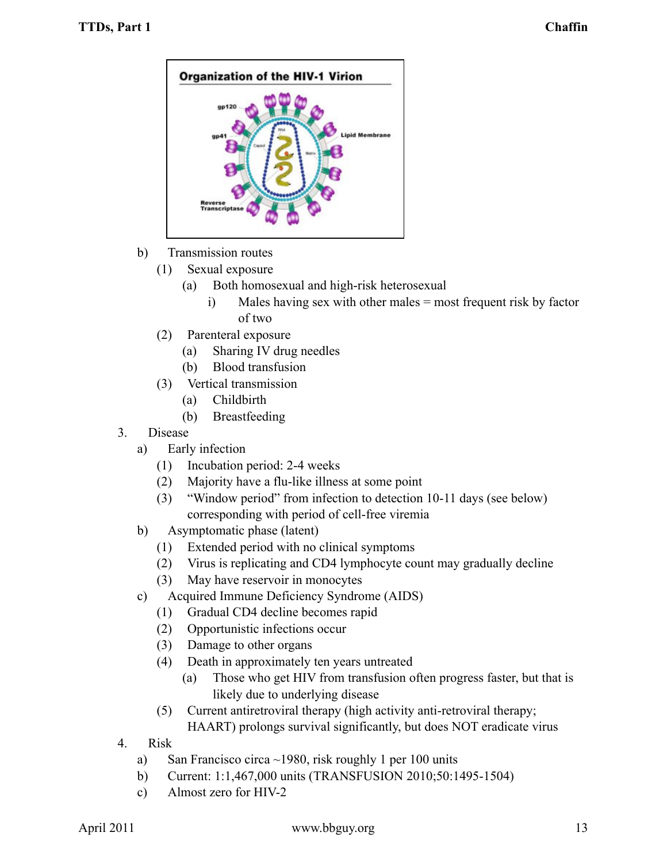

- b) Transmission routes
	- (1) Sexual exposure
		- (a) Both homosexual and high-risk heterosexual
			- i) Males having sex with other males = most frequent risk by factor of two
	- (2) Parenteral exposure
		- (a) Sharing IV drug needles
		- (b) Blood transfusion
	- (3) Vertical transmission
		- (a) Childbirth
		- (b) Breastfeeding
- 3. Disease
	- a) Early infection
		- (1) Incubation period: 2-4 weeks
		- (2) Majority have a flu-like illness at some point
		- (3) "Window period" from infection to detection 10-11 days (see below) corresponding with period of cell-free viremia
	- b) Asymptomatic phase (latent)
		- (1) Extended period with no clinical symptoms
		- (2) Virus is replicating and CD4 lymphocyte count may gradually decline
		- (3) May have reservoir in monocytes
	- c) Acquired Immune Deficiency Syndrome (AIDS)
		- (1) Gradual CD4 decline becomes rapid
		- (2) Opportunistic infections occur
		- (3) Damage to other organs
		- (4) Death in approximately ten years untreated
			- (a) Those who get HIV from transfusion often progress faster, but that is likely due to underlying disease
		- (5) Current antiretroviral therapy (high activity anti-retroviral therapy; HAART) prolongs survival significantly, but does NOT eradicate virus
- 4. Risk
	- a) San Francisco circa ~1980, risk roughly 1 per 100 units
	- b) Current: 1:1,467,000 units (TRANSFUSION 2010;50:1495-1504)
	- c) Almost zero for HIV-2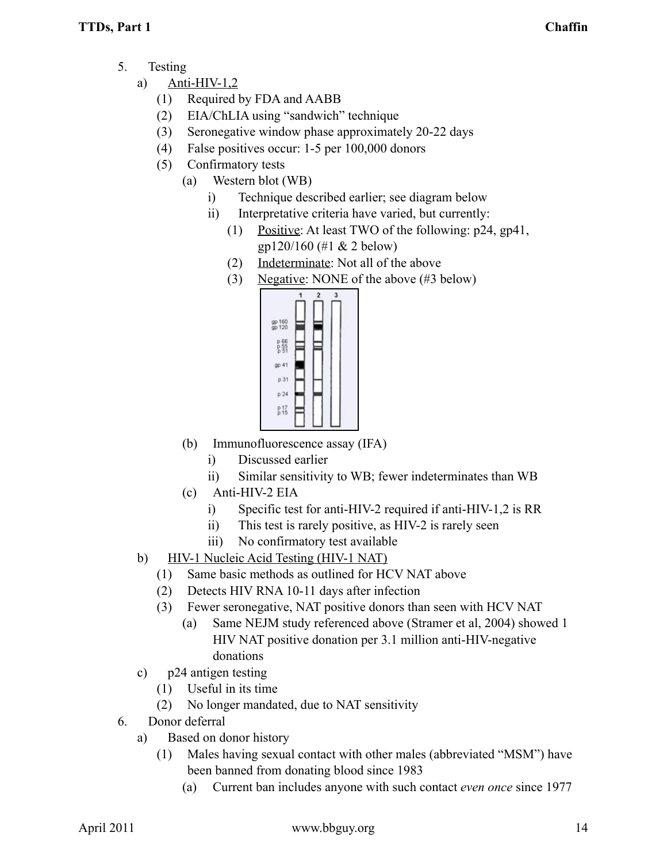- 5. Testing
	- a) Anti-HIV-1,2
		- (1) Required by FDA and AABB
		- (2) EIA/ChLIA using "sandwich" technique
		- (3) Seronegative window phase approximately 20-22 days
		- (4) False positives occur: 1-5 per 100,000 donors
		- (5) Confirmatory tests
			- (a) Western blot (WB)
				- i) Technique described earlier; see diagram below
				- ii) Interpretative criteria have varied, but currently:
					- (1) Positive: At least TWO of the following: p24, gp41, gp120/160 (#1 & 2 below)
					- (2) Indeterminate: Not all of the above
					- (3) Negative: NONE of the above  $(\#3 \text{ below})$



- (b) Immunofluorescence assay (IFA)
	- i) Discussed earlier
	- ii) Similar sensitivity to WB; fewer indeterminates than WB
- (c) Anti-HIV-2 EIA
	- i) Specific test for anti-HIV-2 required if anti-HIV-1,2 is RR
	- ii) This test is rarely positive, as HIV-2 is rarely seen
	- iii) No confirmatory test available
- b) HIV-1 Nucleic Acid Testing (HIV-1 NAT)
	- (1) Same basic methods as outlined for HCV NAT above
	- (2) Detects HIV RNA 10-11 days after infection
	- (3) Fewer seronegative, NAT positive donors than seen with HCV NAT
		- (a) Same NEJM study referenced above (Stramer et al, 2004) showed 1 HIV NAT positive donation per 3.1 million anti-HIV-negative donations
- c) p24 antigen testing
	- (1) Useful in its time
	- (2) No longer mandated, due to NAT sensitivity
- 6. Donor deferral
	- a) Based on donor history
		- (1) Males having sexual contact with other males (abbreviated "MSM") have been banned from donating blood since 1983
			- (a) Current ban includes anyone with such contact *even once* since 1977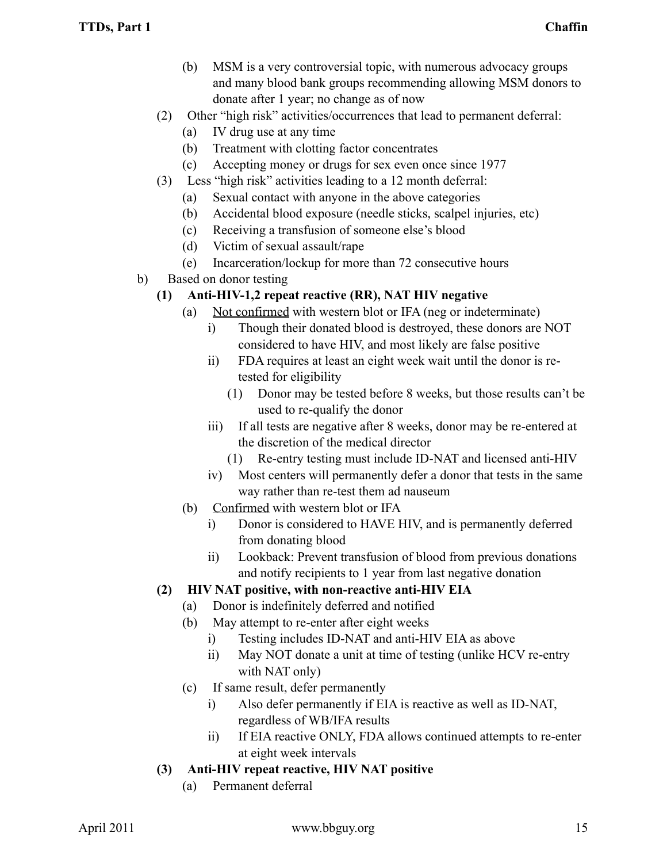- (b) MSM is a very controversial topic, with numerous advocacy groups and many blood bank groups recommending allowing MSM donors to donate after 1 year; no change as of now
- (2) Other "high risk" activities/occurrences that lead to permanent deferral:
	- (a) IV drug use at any time
	- (b) Treatment with clotting factor concentrates
	- (c) Accepting money or drugs for sex even once since 1977
- (3) Less "high risk" activities leading to a 12 month deferral:
	- (a) Sexual contact with anyone in the above categories
	- (b) Accidental blood exposure (needle sticks, scalpel injuries, etc)
	- (c) Receiving a transfusion of someone else's blood
	- (d) Victim of sexual assault/rape
	- (e) Incarceration/lockup for more than 72 consecutive hours
- b) Based on donor testing
	- **(1) Anti-HIV-1,2 repeat reactive (RR), NAT HIV negative**
		- (a) Not confirmed with western blot or IFA (neg or indeterminate)
			- i) Though their donated blood is destroyed, these donors are NOT considered to have HIV, and most likely are false positive
			- ii) FDA requires at least an eight week wait until the donor is retested for eligibility
				- (1) Donor may be tested before 8 weeks, but those results can't be used to re-qualify the donor
			- iii) If all tests are negative after 8 weeks, donor may be re-entered at the discretion of the medical director
				- (1) Re-entry testing must include ID-NAT and licensed anti-HIV
			- iv) Most centers will permanently defer a donor that tests in the same way rather than re-test them ad nauseum
		- (b) Confirmed with western blot or IFA
			- i) Donor is considered to HAVE HIV, and is permanently deferred from donating blood
			- ii) Lookback: Prevent transfusion of blood from previous donations and notify recipients to 1 year from last negative donation

#### **(2) HIV NAT positive, with non-reactive anti-HIV EIA**

- (a) Donor is indefinitely deferred and notified
- (b) May attempt to re-enter after eight weeks
	- i) Testing includes ID-NAT and anti-HIV EIA as above
	- ii) May NOT donate a unit at time of testing (unlike HCV re-entry with NAT only)
- (c) If same result, defer permanently
	- i) Also defer permanently if EIA is reactive as well as ID-NAT, regardless of WB/IFA results
	- ii) If EIA reactive ONLY, FDA allows continued attempts to re-enter at eight week intervals
- **(3) Anti-HIV repeat reactive, HIV NAT positive**
	- (a) Permanent deferral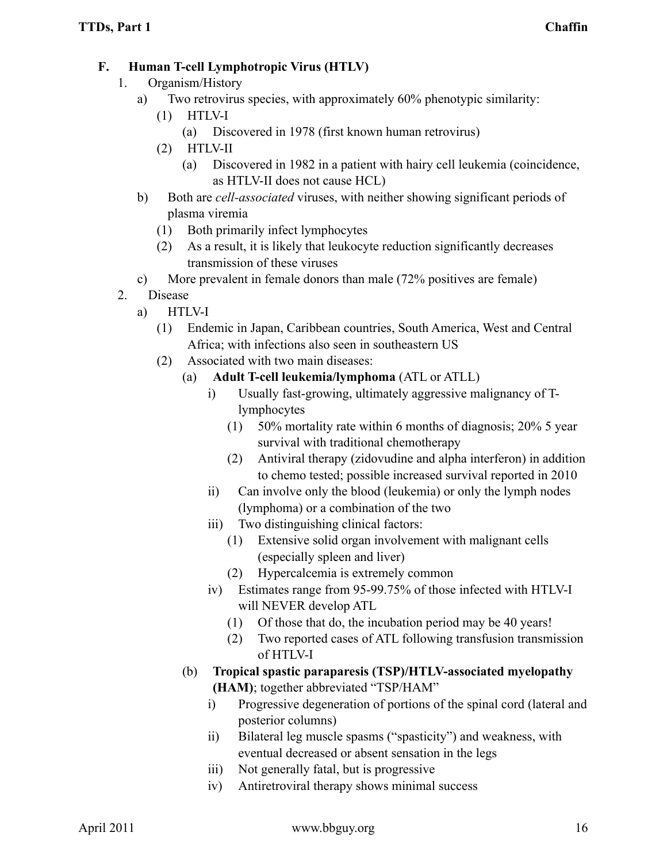## **F. Human T-cell Lymphotropic Virus (HTLV)**

- 1. Organism/History
	- a) Two retrovirus species, with approximately 60% phenotypic similarity:
		- (1) HTLV-I
			- (a) Discovered in 1978 (first known human retrovirus)
		- (2) HTLV-II
			- (a) Discovered in 1982 in a patient with hairy cell leukemia (coincidence, as HTLV-II does not cause HCL)
	- b) Both are *cell-associated* viruses, with neither showing significant periods of plasma viremia
		- (1) Both primarily infect lymphocytes
		- (2) As a result, it is likely that leukocyte reduction significantly decreases transmission of these viruses
	- c) More prevalent in female donors than male (72% positives are female)
- 2. Disease
	- a) HTLV-I
		- (1) Endemic in Japan, Caribbean countries, South America, West and Central Africa; with infections also seen in southeastern US
		- (2) Associated with two main diseases:
			- (a) **Adult T-cell leukemia/lymphoma** (ATL or ATLL)
				- i) Usually fast-growing, ultimately aggressive malignancy of Tlymphocytes
					- (1) 50% mortality rate within 6 months of diagnosis; 20% 5 year survival with traditional chemotherapy
					- (2) Antiviral therapy (zidovudine and alpha interferon) in addition to chemo tested; possible increased survival reported in 2010
				- ii) Can involve only the blood (leukemia) or only the lymph nodes (lymphoma) or a combination of the two
				- iii) Two distinguishing clinical factors:
					- (1) Extensive solid organ involvement with malignant cells (especially spleen and liver)
					- (2) Hypercalcemia is extremely common
				- iv) Estimates range from 95-99.75% of those infected with HTLV-I will NEVER develop ATL
					- (1) Of those that do, the incubation period may be 40 years!
					- (2) Two reported cases of ATL following transfusion transmission of HTLV-I
			- (b) **Tropical spastic paraparesis (TSP)/HTLV-associated myelopathy (HAM)**; together abbreviated "TSP/HAM"
				- i) Progressive degeneration of portions of the spinal cord (lateral and posterior columns)
				- ii) Bilateral leg muscle spasms ("spasticity") and weakness, with eventual decreased or absent sensation in the legs
				- iii) Not generally fatal, but is progressive
				- iv) Antiretroviral therapy shows minimal success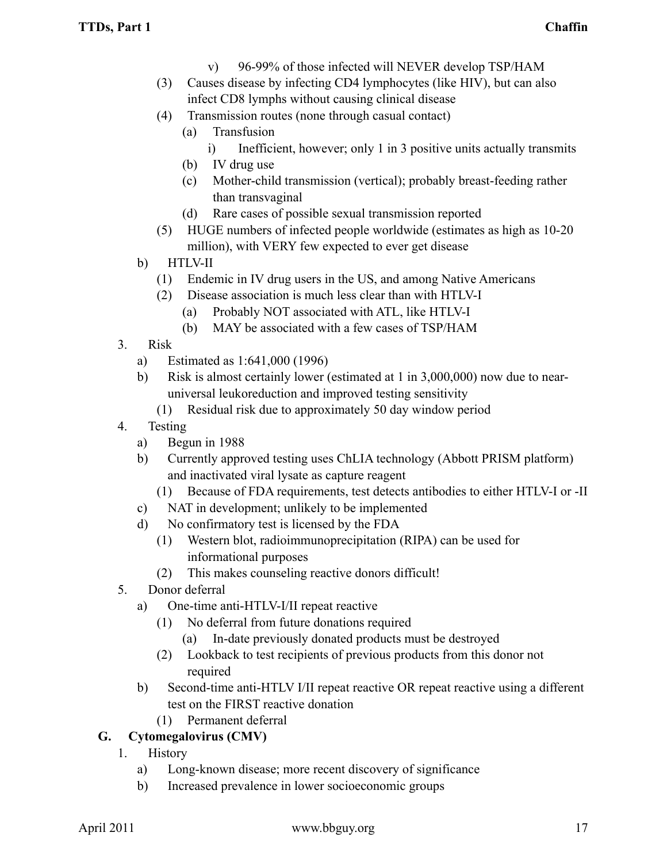- v) 96-99% of those infected will NEVER develop TSP/HAM
- (3) Causes disease by infecting CD4 lymphocytes (like HIV), but can also infect CD8 lymphs without causing clinical disease
- (4) Transmission routes (none through casual contact)
	- (a) Transfusion
		- i) Inefficient, however; only 1 in 3 positive units actually transmits
	- (b) IV drug use
	- (c) Mother-child transmission (vertical); probably breast-feeding rather than transvaginal
	- (d) Rare cases of possible sexual transmission reported
- (5) HUGE numbers of infected people worldwide (estimates as high as 10-20 million), with VERY few expected to ever get disease
- b) HTLV-II
	- (1) Endemic in IV drug users in the US, and among Native Americans
	- (2) Disease association is much less clear than with HTLV-I
		- (a) Probably NOT associated with ATL, like HTLV-I
		- (b) MAY be associated with a few cases of TSP/HAM
- 3. Risk
	- a) Estimated as 1:641,000 (1996)
	- b) Risk is almost certainly lower (estimated at 1 in 3,000,000) now due to nearuniversal leukoreduction and improved testing sensitivity
		- (1) Residual risk due to approximately 50 day window period
- 4. Testing
	- a) Begun in 1988
	- b) Currently approved testing uses ChLIA technology (Abbott PRISM platform) and inactivated viral lysate as capture reagent
		- (1) Because of FDA requirements, test detects antibodies to either HTLV-I or -II
	- c) NAT in development; unlikely to be implemented
	- d) No confirmatory test is licensed by the FDA
		- (1) Western blot, radioimmunoprecipitation (RIPA) can be used for informational purposes
		- (2) This makes counseling reactive donors difficult!
- 5. Donor deferral
	- a) One-time anti-HTLV-I/II repeat reactive
		- (1) No deferral from future donations required
			- (a) In-date previously donated products must be destroyed
		- (2) Lookback to test recipients of previous products from this donor not required
	- b) Second-time anti-HTLV I/II repeat reactive OR repeat reactive using a different test on the FIRST reactive donation
		- (1) Permanent deferral

#### **G. Cytomegalovirus (CMV)**

- 1. History
	- a) Long-known disease; more recent discovery of significance
	- b) Increased prevalence in lower socioeconomic groups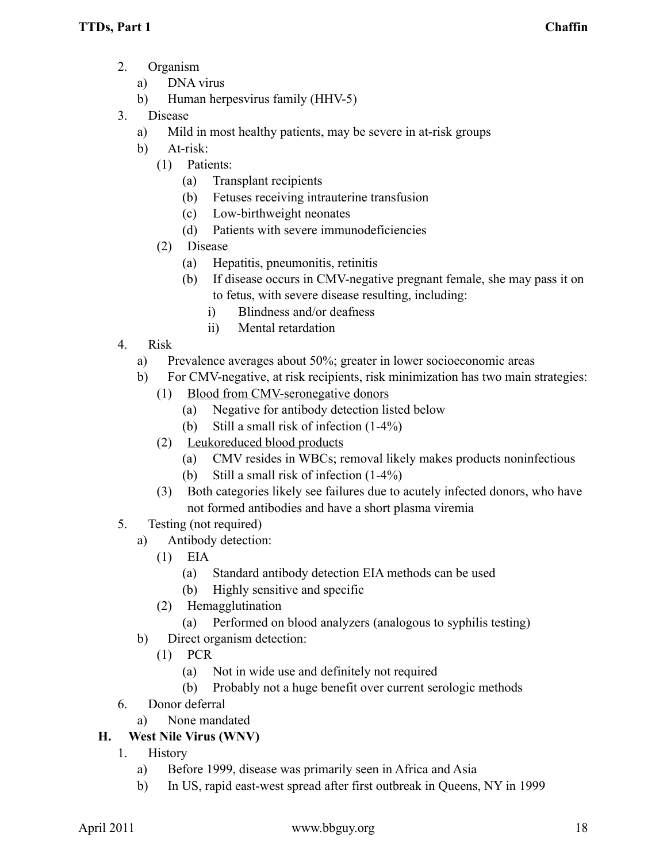- 2. Organism
	- a) DNA virus
	- b) Human herpesvirus family (HHV-5)
- 3. Disease
	- a) Mild in most healthy patients, may be severe in at-risk groups
	- b) At-risk:
		- (1) Patients:
			- (a) Transplant recipients
			- (b) Fetuses receiving intrauterine transfusion
			- (c) Low-birthweight neonates
			- (d) Patients with severe immunodeficiencies
		- (2) Disease
			- (a) Hepatitis, pneumonitis, retinitis
			- (b) If disease occurs in CMV-negative pregnant female, she may pass it on to fetus, with severe disease resulting, including:
				- i) Blindness and/or deafness
				- ii) Mental retardation
- 4. Risk
	- a) Prevalence averages about 50%; greater in lower socioeconomic areas
	- b) For CMV-negative, at risk recipients, risk minimization has two main strategies:
		- (1) Blood from CMV-seronegative donors
			- (a) Negative for antibody detection listed below
			- (b) Still a small risk of infection (1-4%)
		- (2) Leukoreduced blood products
			- (a) CMV resides in WBCs; removal likely makes products noninfectious
			- (b) Still a small risk of infection (1-4%)
		- (3) Both categories likely see failures due to acutely infected donors, who have not formed antibodies and have a short plasma viremia
- 5. Testing (not required)
	- a) Antibody detection:
		- (1) EIA
			- (a) Standard antibody detection EIA methods can be used
			- (b) Highly sensitive and specific
		- (2) Hemagglutination
			- (a) Performed on blood analyzers (analogous to syphilis testing)
	- b) Direct organism detection:
		- (1) PCR
			- (a) Not in wide use and definitely not required
			- (b) Probably not a huge benefit over current serologic methods
- 6. Donor deferral
	- a) None mandated

# **H. West Nile Virus (WNV)**

- 1. History
	- a) Before 1999, disease was primarily seen in Africa and Asia
	- b) In US, rapid east-west spread after first outbreak in Queens, NY in 1999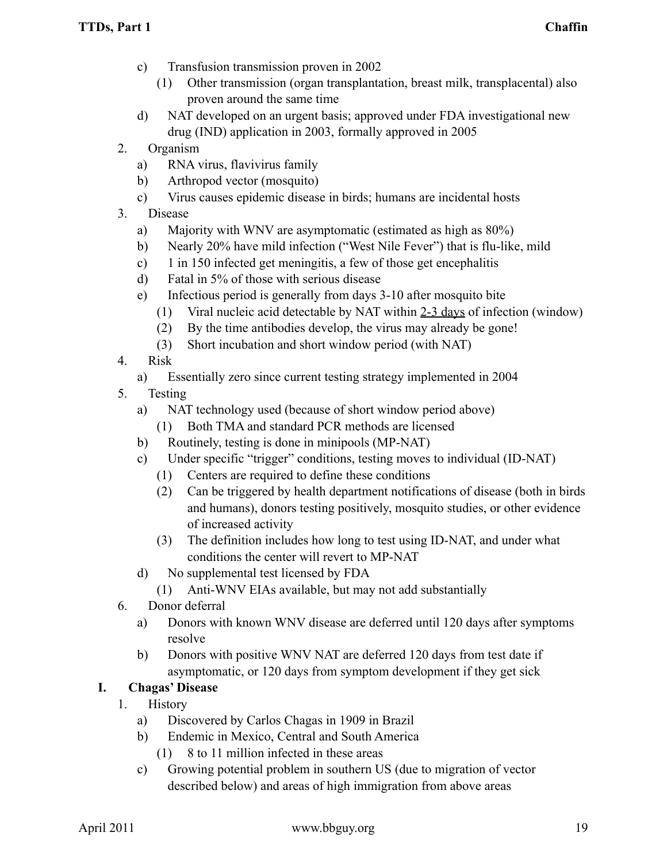- c) Transfusion transmission proven in 2002
	- (1) Other transmission (organ transplantation, breast milk, transplacental) also proven around the same time
- d) NAT developed on an urgent basis; approved under FDA investigational new drug (IND) application in 2003, formally approved in 2005
- 2. Organism
	- a) RNA virus, flavivirus family
	- b) Arthropod vector (mosquito)
	- c) Virus causes epidemic disease in birds; humans are incidental hosts
- 3. Disease
	- a) Majority with WNV are asymptomatic (estimated as high as 80%)
	- b) Nearly 20% have mild infection ("West Nile Fever") that is flu-like, mild
	- c) 1 in 150 infected get meningitis, a few of those get encephalitis
	- d) Fatal in 5% of those with serious disease
	- e) Infectious period is generally from days 3-10 after mosquito bite
		- (1) Viral nucleic acid detectable by NAT within 2-3 days of infection (window)
		- (2) By the time antibodies develop, the virus may already be gone!
		- (3) Short incubation and short window period (with NAT)
- 4. Risk
	- a) Essentially zero since current testing strategy implemented in 2004
- 5. Testing
	- a) NAT technology used (because of short window period above)
		- (1) Both TMA and standard PCR methods are licensed
	- b) Routinely, testing is done in minipools (MP-NAT)
	- c) Under specific "trigger" conditions, testing moves to individual (ID-NAT)
		- (1) Centers are required to define these conditions
		- (2) Can be triggered by health department notifications of disease (both in birds and humans), donors testing positively, mosquito studies, or other evidence of increased activity
		- (3) The definition includes how long to test using ID-NAT, and under what conditions the center will revert to MP-NAT
	- d) No supplemental test licensed by FDA
		- (1) Anti-WNV EIAs available, but may not add substantially
- 6. Donor deferral
	- a) Donors with known WNV disease are deferred until 120 days after symptoms resolve
	- b) Donors with positive WNV NAT are deferred 120 days from test date if asymptomatic, or 120 days from symptom development if they get sick

# **I. Chagas' Disease**

- 1. History
	- a) Discovered by Carlos Chagas in 1909 in Brazil
	- b) Endemic in Mexico, Central and South America
		- (1) 8 to 11 million infected in these areas
	- c) Growing potential problem in southern US (due to migration of vector described below) and areas of high immigration from above areas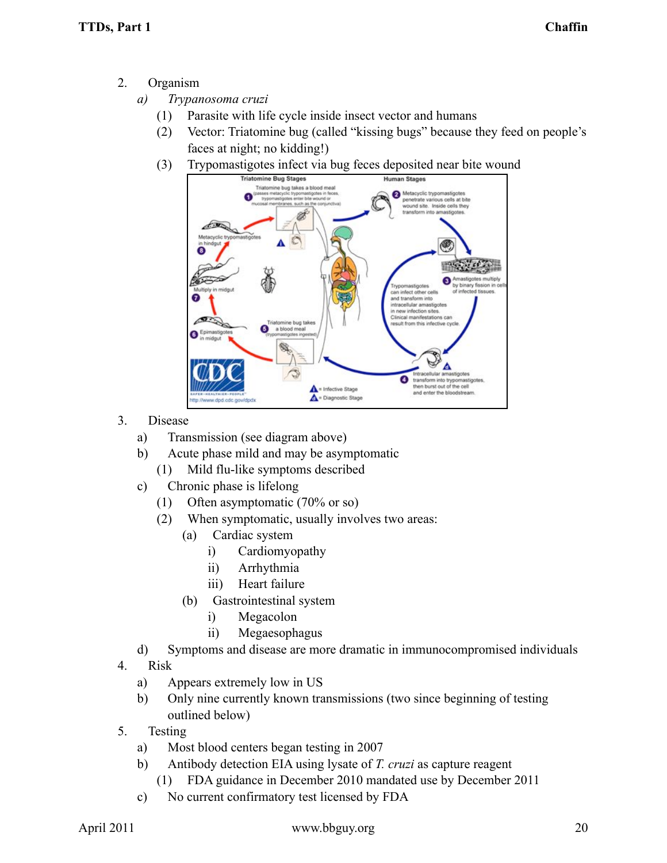- 2. Organism
	- *a) Trypanosoma cruzi*
		- (1) Parasite with life cycle inside insect vector and humans
		- (2) Vector: Triatomine bug (called "kissing bugs" because they feed on people's faces at night; no kidding!)
		- (3) Trypomastigotes infect via bug feces deposited near bite wound



- 3. Disease
	- a) Transmission (see diagram above)
	- b) Acute phase mild and may be asymptomatic
		- (1) Mild flu-like symptoms described
	- c) Chronic phase is lifelong
		- (1) Often asymptomatic (70% or so)
		- (2) When symptomatic, usually involves two areas:
			- (a) Cardiac system
				- i) Cardiomyopathy
				- ii) Arrhythmia
				- iii) Heart failure
			- (b) Gastrointestinal system
				- i) Megacolon
				- ii) Megaesophagus
	- d) Symptoms and disease are more dramatic in immunocompromised individuals
- 4. Risk
	- a) Appears extremely low in US
	- b) Only nine currently known transmissions (two since beginning of testing outlined below)
- 5. Testing
	- a) Most blood centers began testing in 2007
	- b) Antibody detection EIA using lysate of *T. cruzi* as capture reagent
		- (1) FDA guidance in December 2010 mandated use by December 2011
	- c) No current confirmatory test licensed by FDA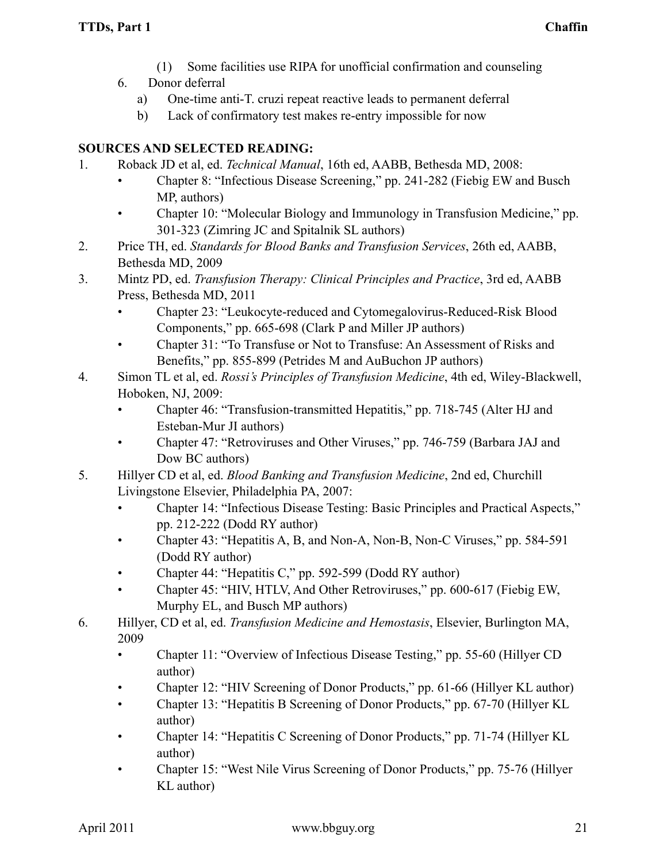- (1) Some facilities use RIPA for unofficial confirmation and counseling
- 6. Donor deferral
	- a) One-time anti-T. cruzi repeat reactive leads to permanent deferral
	- b) Lack of confirmatory test makes re-entry impossible for now

## **SOURCES AND SELECTED READING:**

- 1. Roback JD et al, ed. *Technical Manual*, 16th ed, AABB, Bethesda MD, 2008:
	- Chapter 8: "Infectious Disease Screening," pp. 241-282 (Fiebig EW and Busch MP, authors)
	- Chapter 10: "Molecular Biology and Immunology in Transfusion Medicine," pp. 301-323 (Zimring JC and Spitalnik SL authors)
- 2. Price TH, ed. *Standards for Blood Banks and Transfusion Services*, 26th ed, AABB, Bethesda MD, 2009
- 3. Mintz PD, ed. *Transfusion Therapy: Clinical Principles and Practice*, 3rd ed, AABB Press, Bethesda MD, 2011
	- Chapter 23: "Leukocyte-reduced and Cytomegalovirus-Reduced-Risk Blood Components," pp. 665-698 (Clark P and Miller JP authors)
	- Chapter 31: "To Transfuse or Not to Transfuse: An Assessment of Risks and Benefits," pp. 855-899 (Petrides M and AuBuchon JP authors)
- 4. Simon TL et al, ed. *Rossi's Principles of Transfusion Medicine*, 4th ed, Wiley-Blackwell, Hoboken, NJ, 2009:
	- Chapter 46: "Transfusion-transmitted Hepatitis," pp. 718-745 (Alter HJ and Esteban-Mur JI authors)
	- Chapter 47: "Retroviruses and Other Viruses," pp. 746-759 (Barbara JAJ and Dow BC authors)
- 5. Hillyer CD et al, ed. *Blood Banking and Transfusion Medicine*, 2nd ed, Churchill Livingstone Elsevier, Philadelphia PA, 2007:
	- Chapter 14: "Infectious Disease Testing: Basic Principles and Practical Aspects," pp. 212-222 (Dodd RY author)
	- Chapter 43: "Hepatitis A, B, and Non-A, Non-B, Non-C Viruses," pp. 584-591 (Dodd RY author)
	- Chapter 44: "Hepatitis C," pp. 592-599 (Dodd RY author)
	- Chapter 45: "HIV, HTLV, And Other Retroviruses," pp. 600-617 (Fiebig EW, Murphy EL, and Busch MP authors)
- 6. Hillyer, CD et al, ed. *Transfusion Medicine and Hemostasis*, Elsevier, Burlington MA, 2009
	- Chapter 11: "Overview of Infectious Disease Testing," pp. 55-60 (Hillyer CD) author)
	- Chapter 12: "HIV Screening of Donor Products," pp. 61-66 (Hillyer KL author)
	- Chapter 13: "Hepatitis B Screening of Donor Products," pp. 67-70 (Hillyer KL) author)
	- Chapter 14: "Hepatitis C Screening of Donor Products," pp. 71-74 (Hillyer KL) author)
	- Chapter 15: "West Nile Virus Screening of Donor Products," pp. 75-76 (Hillyer KL author)